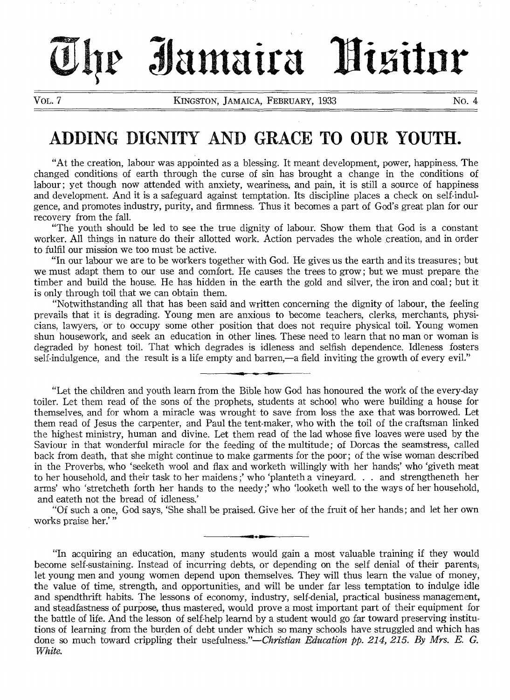# **1,11r 5Jantaira 16ittir**

VOL. 7 KINGSTON, JAMAICA, FEBRUARY, 1933 NO. 4

### **ADDING DIGNITY AND GRACE TO OUR YOUTH.**

"At the creation, labour was appointed as a blessing. It meant development, power, happiness. The changed conditions of earth through the curse of sin has brought a change in the conditions of labour ; yet though now attended with anxiety, weariness, and pain, it is still a source of happiness and development. And it is a safeguard against temptation. Its discipline places a check on self-indulgence, and promotes industry, purity, and firmness. Thus it becomes a part of God's great plan for our recovery from the fall.

"The youth should be led to see the true dignity of labour. Show them that God is a constant worker. All things in nature do their allotted work. Action pervades the whole creation, and in order to fulfil our mission we too must be active.

"In our labour we are to be workers together with God. He gives us the earth and its treasures ; but we must adapt them to our use and comfort. He causes the trees to grow ; but we must prepare the timber and build the house. He has hidden in the earth the gold and silver, the iron and coal; but it is only through toil that we can obtain them.

"Notwithstanding all that has been said and written concerning the dignity of labour, the feeling prevails that it is degrading. Young men are anxious to become teachers, clerks, merchants, physicians, lawyers, or to occupy some other position that does not require physical toil. Young women shun housework, and seek an education in other lines. These need to learn that no man or woman is degraded by honest toil. That which degrades is idleness and selfish dependence. Idleness fosters self-indulgence, and the result is a life empty and barren,—a field inviting the growth of every evil,"

"Let the children and youth learn from the Bible how God has honoured the work of the every-day toiler. Let them read of the sons of the prophets, students at school who were building a house for themselves, and for whom a miracle was wrought to save from loss the axe that was borrowed. Let them read of Jesus the carpenter, and Paul the tent-maker, who with the toil of the craftsman linked the highest ministry, human and divine. Let them read of the lad whose five loaves were used by the Saviour in that wonderful miracle for the feeding of the multitude; of Dorcas the seamstress, called back from death, that she might continue to make garments for the poor; of the wise woman described in the Proverbs, who 'seeketh wool and flax and worketh willingly with her hands;' who 'giveth meat to her household, and their task to her maidens ;' who `planteth a vineyard. . . and strengtheneth her arms' who `stretcheth forth her hands to the needy;' who `looketh well to the ways of her household, and eateth not the bread of idleness.'

"Of such a one, God says, 'She shall be praised. Give her of the fruit of her hands; and let her own works praise her.'"

"In acquiring an education, many students would gain a most valuable training if they would become self-sustaining. Instead of incurring debts, or depending on the self denial of their parents; let young men and young women depend upon themselves. They will thus learn the value of money, the value of time, strength, and opportunities, and will be under far less temptation to indulge idle and spendthrift habits. The lessons of economy, industry, self-denial, practical business management, and steadfastness of purpose, thus mastered, would prove a most important part of their equipment for the battle of life. And the lesson of self-help learnd by a student would go far toward preserving institutions of learning from the burden of debt under which so many schools have struggled and which has done so much toward crippling their *usefulness."—Christian Education pp. 214, 215. By Mrs. E. G. White.*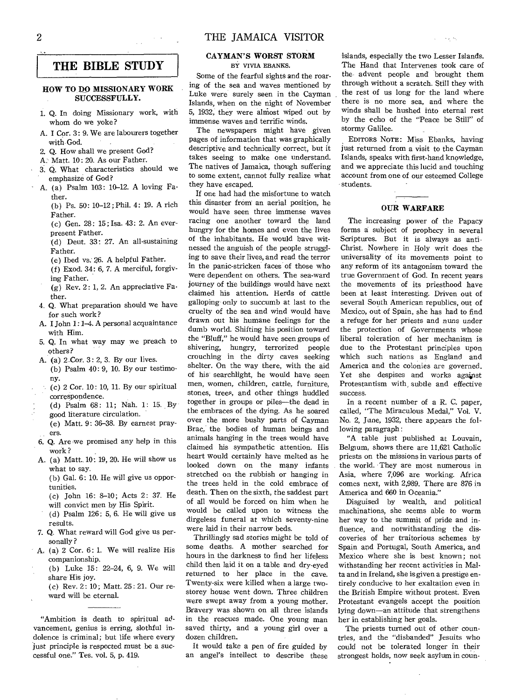#### **THE BIBLE STUDY**

#### **HOW TO DO MISSIONARY WORK SUCCESSFULLY.**

- **1.** Q. In doing Missionary work, with whom do we yoke?
- A. I Cor. 3: 9. We are labourers together with God.
- 2. Q. How shall we present God?
- A: Matt. 10: 20. As our Father.
- 3. Q. What characteristics should we emphasize of God?
- A. (a) Psalm 103: 10-12. A loving Father.

(b) Ps. 50: 10-12 ; Phil. 4: 19. A rich Father.

(c) Gen. 28: 15; Isa. 43: 2. An everpresent Father.

(d) Deut. 33: 27. An all-sustaining Father.

(e) Ibed vs. 26. A helpful Father.

- (f) Exod. 34: 6, 7. A merciful, forgiving Father.
- (g) Rev. 2: 1, 2. An appreciative Father.
- 4. Q. What preparation should we have for such work?
- A. I John 1:1-4. A personal acquaintance with Him.
- 5. Q. In what way may we preach to others?
- A. (a) 2 Cor. 3 : 2, 3. By our lives. (b) Psalm 40: 9, 10. By our testimony.
- $(c)$  2 Cor. 10: 10, 11. By our spiritual correspondence.
- (d) Psalm 68: 11; Nah. 1: 15. By good literature circulation.
- (e) Matt. 9: 36-38. By earnest prayers.
- 6. Q. Are we promised any help in this work ?
- A. (a) Matt.. 10: 19, 20. He will show us what to say.

(b) Gal. 6: 10. He will give us opportunities.

- (c) John 16: 8-10; Acts 2: 37. He will convict men by His Spirit.
- (d) Psalm 126: 5, 6. He will give us results.
- 7. Q. What reward will God give us personally ?
- A. (a) 2 Cor. 6: 1. We will realize His companionship.
	- (b) Luke 15: 22-24, 6, 9. We will share His joy.

(c) Rev. 2: 10; Matt. 25: 21. Our reward will be eternal.

"Ambition is death to spiritual advancement, genius is erring, slothful indolence is criminal; but life where every just principle is respected must be a *successful* one." Tes. vol. 5, p. 419.

#### **CAYMAN'S WORST STORM**  BY VIVIA EBANKS.

Some of the fearful sights and the roaring of the sea and waves mentioned by Luke were surely seen in the Cayman Islands, when on the night of November 5, 1932, they were ahriost wiped out by immense waves and terrific winds.

The newspapers might have given pages of information that was graphically descriptive and technically correct, but it takes seeing to make one understand. The natives of Jamaica, though suffering to some extent, cannot fully realize what they have escaped.

If one had had the misfortune to watch this disaster from an aerial position, he would have seen three immense waves racing one another toward the land hungry for the homes and even the lives of the inhabitants. He would have witnessed the anguish of the people struggling to save their lives, and read the terror in the panic-stricken faces of those who were dependent on others. The sea-ward journey of the buildings would have next claimed his attention. Herds of cattle galloping only to succumb at last to the cruelty of the sea and wind would have drawn out his humane feelings for the dumb world. Shifting his position toward the "Bluff," he would have seen groups of shivering, hungry, terrorized people crouching in the dirty caves seeking shelter. On the way there, with the aid of his searchlight, he would have seen men, women, children, cattle, furniture, stones, trees, and other things huddled together in groups or piles—the dead in the embraces of the dying. As he soared over the more bushy parts of Cayman Brac, the bodies of human *beings* and animals hanging in the trees would have claimed his sympathetic attention. His heart would certainly have melted as he looked down on the many infants stretched on the rubbish or hanging in the trees held in the cold embrace of death. Then on the sixth, the saddest part of all would be forced on him when he would be called upon to witness the dirgeless funeral at which seventy-nine were laid in their narrow beds.

Thrillingly sad *stories* might be told of some deaths. A mother searched for hours in the darkness to find her lifeless child then laid it on a table and dry-eyed returned to her place in the cave. Twenty-six were killed when a large twostorey house went down. Three children were swept away from a young mother. Bravery was shown on all three islands in the rescues made. One young man saved thirty, and a young girl over a dozen children.

It would take a pen of fire guided by an angel's intellect to describe these islands, especially the two Lesser Islands. The Hand that Intervenes took care of the advent people and brought them through without a scratch. Still they with the rest of us long for the land where there is no more sea, and where the winds shall be hushed into eternal rest by the echo of the "Peace be Still" of stormy Galilee.

EDITORS NOTE: Miss Ebanks, having just returned from a visit to the Cayman Islands, speaks with first-hand knowledge, and we appreciate this lucid and touching account from one of our esteemed College students.

#### **OUR WARFARE**

The increasing power of the Papacy forms a subject of prophecy in several Scriptures. But it is always as anti-Christ. Nowhere in Holy writ does the universality of its movements point to any reform of its antagonism toward the true Government of God. In recent years the movements of its priesthood have been at least interesting. Driven out of several South American republics, out of Mexico, out of Spain, she has had to find a refuge for her priests and nuns under the protection of Governments whose liberal toleration of her mechanism is due to the Protestant principles upon which such nations as England and America and the colonies are governed. Yet she despises and works against Protestantism with, subtle and effective success.

In a recent number of a R. C. paper, called, "The Miraculous Medal," Vol. V. No. 2, June, 1932, there appears the following paragraph:

"A table just published at Louvain, Belgium, shows there are 11,621 Catholic priests on the missions in various parts of the world. They are most numerous in Asia, where 7,096 are working. Africa comes next, with 2,989. There are 876 in America and 660 in Oceania."

Disguised by wealth, and political machinations, she seems able to worm her way to the summit of pride and influence, and notwithstanding the discoveries of her traitorious schemes by Spain and Portugal, South America, and Mexico where she is best known; not withstanding her recent activities in Malta and in Ireland, she is given a prestige entirely conducive to her exaltation even in the British Empire without protest. Even Protestant evangels accept the position lying down—an attitude that strengthens her in establishing her goals.

The priests turned out of other countries, and the "disbanded" Jesuits who could not be tolerated longer in their strongest holds, now seek asylum in coun-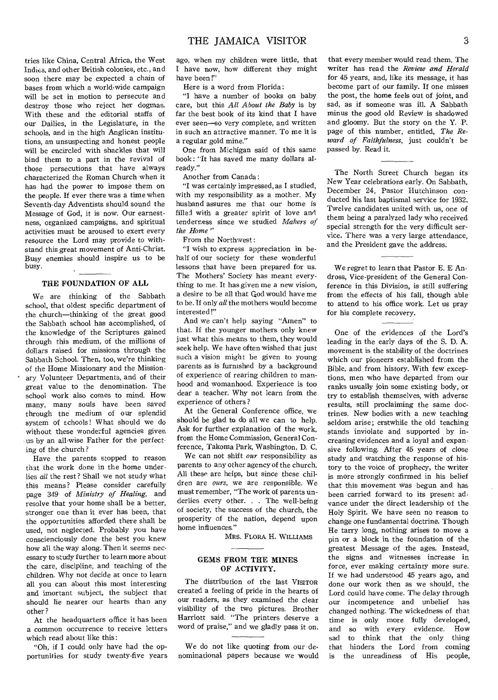tries like China, Central Africa, the West Indies, and other British colonies, etc., and soon there may be expected a chain of bases from which a world-wide campaign will be set in motion to persecute and destroy those who reject her dogmas. With these and the editorial staffs of our Dailies, in the Legislature, in the schools, and in the high Anglican institutions, an unsuspecting and honest people will be encircled with shackles that will bind them to a part in the revival of those persecutions that have always characterized the Roman Church when it has had the power to impose them on the people. If ever there was a time when Seventh-day Adventists should sound the Message of God, it is now. Our earnestness, organized campaigns, and spiritual activities must be aroused to exert every resource the Lord may provide to withstand this great movement of Anti-Christ. Busy enemies should inspire us to be busy.

#### THE FOUNDATION OF ALL

We are thinking of the Sabbath school, that oldest specific department of the church—thinking of the great good the Sabbath school has accomplished, of the knowledge of the Scriptures gained through this medium, of the millions of dollars raised for missions through the Sabbath School. Then, too, we're thinking of the Home Missionary and the Mission ary Volunteer Departments, and of their great value to the denomination. The school work also comes to mind. How many, many souls have been saved through the medium of our splendid system of schools! What should we do without these wonderful agencies given us by an all-wise Father for the perfecting of the church?

Have the parents stopped to reason that the work done in the home underlies *all* the rest? Shall we not study what this means? Please consider carefully page 349 of *Ministry of Healing,* and resolve that your home shall be a better, stronger one than it ever has been, that the opportunities afforded there shall be used, not neglected. Probably you have conscienciously done the best you knew how all the way along. Then it seems necessary to study further to learn more about the care, discipline, and teaching of the children. Why not decide at once to learn all you can about this most interesting and imortant subject, the subject that should lie nearer our hearts than any other ?

At the headquarters office it has been a common occurrence to receive letters which read about like this:

"Oh, if I could only have had the opportunities for study twenty-five years

ago, when my children were little, that I have now, how different they might have been!"

Here is a word from Florida :

"I have a number of books on baby care, but this *All About the Baby* is by far the best book of its kind that I have ever seen—so very complete, and written in such an attractive manner. To me it is a regular gold mine."

One from Michigan said of this same book: "It has saved me many dollars already.'

Another from Canada:

"I was certainly impressed, as I studied, with my responsibility as a mother. My husband assures me that our home is filled with a greater spirit of love and tenderness since we studied *Makers of the Home"* 

From the Northwest :

"I wish to express appreciation in behalf of our society for these wonderful lessons that have been prepared for us. The Mothers' Society has meant everything to me. It has given me a new vision, a desire to be all that God would have me to be. If only *all* the mothers would become interested!"

And we can't help saying "Amen" to that. If the younger mothers only knew just what this means to them, they would seek help. We have often wished that just such a vision might be given to young parents as is furnished by a background of experience of rearing children to manhood and womanhood. Experience is too dear a teacher. Why not learn from the experience of others ?

At the General Conference office, we should be glad to do all we can to help. Ask for further explanation of the work, from the Home Commission, General Conference, Takoma Park, Washington, D. C.

We can not shift *our* responsibility as parents to any other agency of the church. All these are helps, but since these children are *ours, we* are responsible. We must remember, "The work of parents underlies every other. . . The well-being of society, the success of the church, the prosperity of the nation, depend upon home influences."

MRS. FLORA H. WILLIAMS

#### GEMS FROM THE MINES OF ACTIVITY.

The distribution of the last VISITOR created a feeling of pride in the hearts of our readers, as they examined the clear visibility of the two pictures. Brother Harriott said. "The printers deserve a word of praise," and we gladly pass it on.

We do not like quoting from our denominational papers because we would that every member would read them. The writer has read the *Review and Herald*  for 45 years, and, like its message, it has become part of our family. If one misses the post, the home feels out of joint, and sad, as if someone was ill. A Sabbath minus the good old Review is shadowed and gloomy. But the story on the Y. P. page of this number, entitled, *The Reward of Faithfulness,* just couldn't be passed by. Read it.

The North Street Church began its New Year celebrations early. On Sabbath, December 24, Pastor Hutchinson conducted his last baptismal service for 1932. Twelve candidates united with us, one of them being a paralyzed lady who received special strength for the very difficult service. There was a very large attendance, and the President gave the address.

We regret to learn that Pastor E. E Andross, Vice-president of the General Conference in this Division, is still suffering from the effects of his fall, though able to attend to his office work. Let us pray for his complete recovery.

One of the evidences of the Lord's leading in the early days of the S. D. A. movement is the stability of the doctrines which our pioneers established from the Bible, and from history. With few exceptions, men who have departed from our ranks usually join some existing body, or try to establish themselves, with adverse results, still proclaiming the same doctrines. New bodies with a new teaching seldom arise; erstwhile the old teaching stands inviolate and supported by increasing evidences and a loyal and expansive following. After 45 years of close study and watching the response of history to the voice of prophecy, the writer is more strongly confirmed in his belief that this movement was begun and has been carried forward to its present advance under the direct leadership of the Holy Spirit. We have seen no reason to change one fundamental doctrine. Though He tarry long, nothing arises to move a pin or a block in the foundation of the greatest Message of the ages. Instead, the signs and witnesses increase in force, ever making certainty more sure. If we had understood 45 years ago, and done our work then as we should, the Lord could have come. The delay through our incompetence and unbelief has changed nothing. The wickedness of that time is only more fully developed, and so with every evidence. How sad to think that the only thing that hinders the Lord from coming is the unreadiness of His people,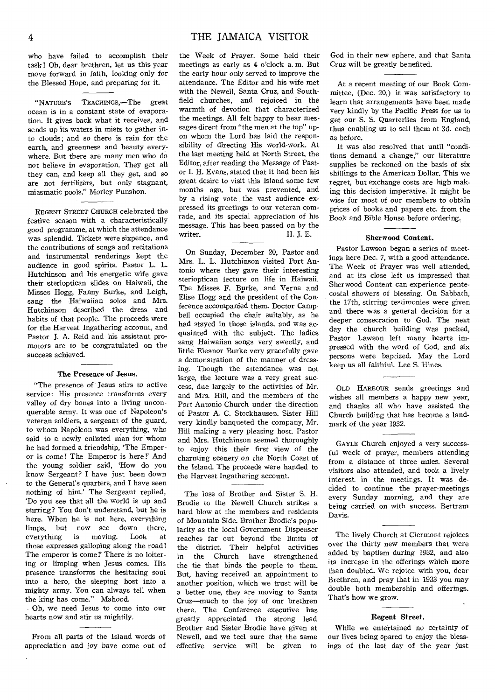who have failed to accomplish their task I Oh, dear brethren, let us this year move forward in faith, looking only for the Blessed Hope, and preparing for it.

"NATURE'S TEACHINGS,—The great ocean is in a constant state of evaporation. It gives back what it receives, and sends up its waters in mists to gather into clouds; and so there is rain for the earth, and greenness and beauty everywhere. But there are many men who do not believe in evaporation. They get all they can, and keep all they get, and so are not fertilizers, but only stagnant, miasmatic pools." Morley Punshon.

REGENT STREET CHURCH celebrated the festive season with a characteristically good programme, at which the attendance was splendid. Tickets were sixpence, and the contributions of songs and recitations and instrumental renderings kept the audience in good spirits. Pastor L. L. Hutchinson and his energetic wife gave their sterioptican slides on Haiwaii, the Misses Hogg, Fanny Burke, and Leigh, sang the Haiwaiian solos and Mrs. Hutchinson described the dress and habits of that people. The proceeds were for the Harvest Ingathering account, and Pastor J. A. Reid and his assistant promotors are to be congratulated on the success achieved.

#### The Presence of Jesus.

"The presence of Jesus stirs to active service: His presence transforms every valley of dry bones into a living unconquerable army. It was one of Napoleon's veteran soldiers, a sergeant of the guard, to whom Napoleon was everything, who said to a newly enlisted man for whom he had formed a friendship, 'The Emperor is come! The Emperor is here !' And the young soldier said, 'How do you know Sergeant? I have just been down to the General's quarters, and I have seen nothing of him.' The Sergeant replied, `Do you see that all the world is up and stirring? You don't understand, but he is here. When he is not here, everything<br>limps, but now see down there, limps, but now see down there,<br>everything is moving. Look at moving. those expresses galloping along the road! The emperor is come!' There is no loitering or limping when Jesus comes. His presence transforms the hesitating soul into a hero, the sleeping host into a mighty army. You can always tell when the king has come." Mahood.

Oh, we need Jesus to come into our hearts now and stir us mightily.

From all parts of the Island words of appreciaticn and joy have come out of the Week of Prayer. Some held their meetings as early as 4 o'clock a. m. But the early hour only served to improve the attendance. The Editor and his wife met with the Newell, Santa Cruz, and Southfield churches, and rejoiced in the warmth of devotion that characterized the meetings. All felt happy to hear messages direct from "the men at the top" upon whom the Lord has laid the responsibility of directing His world-work. At the last meeting held at North Street, the Editor, after reading the Message of Pastor I. H. Evans, stated that it had been his great desire to visit this Island some few months ago, but was prevented, and by a rising vote the vast audience expressed its greetings to our veteran comrade, and its special appreciation of his message. This has been passed on by the writer. H. L. E.

On Sunday, December 20, Pastor and Mrs. L. L. Hutchinson visited Port Antonio where they gave their interesting sterioptican lecture on life in Haiwaii. The Misses F. Burke, and Verna and Elise Hogg and the president of the Conference accompanied them. Doctor Campbell occupied the chair suitably, as he had stayed in those islands, and was acquainted with the subject. The ladies sang Haiwaiian songs very sweetly, and little Eleanor Burke very gracefully gave a demonstration of the manner of dressing. Though the attendance was not large, the lecture was a very great success, due largely to the activities of Mr. and Mrs. Hill, and the members of the Port Antonio Church under the direction of Pastor A. C. Stockhausen. Sister Hill very kindly banqueted the company, Mr. Hill making a very pleasing host. Pastor and Mrs. Hutchinson seemed thoroughly to enjoy this their first view of the charming scenery on the North Coast of the Island. The proceeds were handed to the Harvest Ingathering account.

The loss of Brother and Sister S. H. Brodie to the Newell Church strikes a hard blow at the members and residents of Mountain Side. Brother Brodie's popularity as the local Government Dispenser reaches far out beyond the limits of the district. Their helpful activities in the Church have strengthened the tie that binds the people to them. But, having received an appointment to another position, which we trust will be a better one, they are moving to Santa Cruz—much to the joy of our brethren there. The Conference executive has greatly appreciated the strong lead Brother and Sister Brodie have given at Newell, and we feel sure that the same effective service will be given to

God in their new sphere, and that Santa Cruz will be greatly benefited.

At a recent meeting of our Book Committee, (Dec. 20,) it was satisfactory to learn that arrangements have been made very kindly by the Pacific Press for us to get our S. S. Quarterlies from England, thus enabling us to sell them at 3d. each as before.

It was also resolved that until "conditions demand a change," our literature supplies be reckoned on the basis of six shillings to the American Dollar. This we regret, but exchange costs are high making this decision imperative. It might be wise for most of our members to obtain prices of books and papers etc. from the Book and Bible House before ordering.

#### Sherwood Content.

Pastor Lawson began a series of meetings here Dec. 7, with a good attendance. The Week of Prayer was well attended, and at its close left us impressed that Sherwood Content can experience pentecostal showers of blessing. On Sabbath, the 17th, stirring testimonies were given and there was a general decision for a deeper consecration to God. The next day the church building was packed, Pastor Lawson left many hearts impressed with the word of God, and six persons were baptized. May the Lord keep us all faithful. Lee S. Hines.

OLD HARBOUR sends greetings and wishes all members a happy new year, and thanks all who have assisted the Church building that has become a landmark of the year 1932.

GAYLE Church enjoyed a very successful week of prayer, members attending from a distance of three miles. Several visitors also attended, and took a lively interest in the meetings. It was decided to continue the prayer-meetings every Sunday morning, and they are being carried on with success. Bertram Davis.

The lively Church at Clermont rejoices over the thirty new members that were added by baptism during 1932, and also its increase in the offerings which more than doubled. We rejoice with you, dear Brethren, and pray that in 1933 you may double both membership and offerings. That's how we grow.

#### Regent Street.

While we entertained no certainty of our lives being spared to enjoy the blessings of the last day of the year just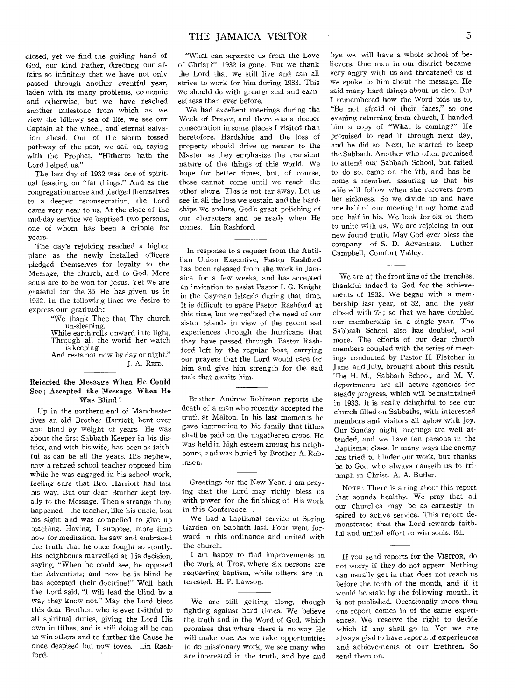closed, yet we find the guiding hand of God, our kind Father, directing our affairs so infinitely that we have not only passed through another eventful year, laden with its many problems, economic and otherwise, but we have reached another milestone from which as we view the billowy sea of life, we see our Captain at the wheel, and eternal salvation ahead. Out of the storm tossed pathway of the past, we sail on, saying with the Prophet, "Hitherto hath the Lord helped us."

The last day of 1932 was one of spiritual feasting on "fat things." And as the congregation arose and pledged themselves to a deeper reconsecration, the Lord came very near to us. At the close of the mid-day service we baptized two persons, one of whom has been a cripple for years.

The day's rejoicing reached a higher plane as the newly installed officers pledged themselves for loyalty to the Message, the church, and to God. More souls are to be won for Jesus. Yet we are grateful for the 35 He has given us in 1932. In the following lines we desire to express our gratitude:

"We thank Thee that Thy church un-sleeping, While earth rolls onward into light, Through all the world her watch is keeping And rests not now by day or night." J. A. REID.

#### **Rejected the Message When He Could See; Accepted the Message When He Was Blind !**

Up in the northern end of Manchester lives an old Brother Harriott, bent over and blind by weight of years. He was about the first Sabbath Keeper in his district, and with his wife, has been as faithful as can be all the years. His nephew, now a retired school teacher opposed him while he was engaged in his school work, feeling sure that Bro. Harriott had lost his way. But our dear Brother kept loyally to the Message. Then a strange thing happened—the teacher, like his uncle, lost his sight and was compelled to give up teaching. Having, I suppose, more time now for meditation, he saw and embraced the truth that he once fought so stoutly. His neighbours marvelled at his decision, saying, "When he could see, he opposed the Adventists; and now he is blind he has accepted their doctrine!" Well hath the Lord said, "I will lead the blind by a way they know not." May the Lord bless this dear Brother, who is ever faithful to all spiritual duties, giving the Lord His own in tithes, and is still doing all he can to win others and to further the Cause he once despised but now loves. Lin Rashford.

"What can separate us from the Love of Christ ?" 1932 is gone. But we thank the Lord that we still live and can all strive to work for him during 1933. This we should do with greater zeal and earnestness than ever before.

We had excellent meetings during the Week of Prayer, and there was a deeper consecration in some places I visited than heretofore. Hardships and the loss of property should drive us nearer to the Master as they emphasize the transient nature of the things of this world. We hope for better times, but, of course, these cannot come until we reach the other shore. This is not far away. Let us see in all the loss we sustain and the hardships we endure, God's great polishing of our characters and be ready when He comes. Lin Rashford.

In response to a request from the Antillian Union Executive, Pastor Rashford has been released from the work in Jamaica for a few weeks, and has accepted an invitation to assist Pastor I. G. Knight in the Cayman Islands during that time. It is difficult to spare Pastor Rashford at this time, but we realized the need of our sister islands in view of the recent sad experiences through the hurricane that they have passed through. Pastor Rashford left by the regular boat, carrying our prayers that the Lord would care for him and give him strength for the sad task that awaits him.

Brother Andrew Robinson reports the death of a man who recently accepted the truth at Malton. In his last moments he gave instruction to his family that tithes shall be paid on the ungathered crops. He was held in high esteem among his neighbours, and was buried by Brother A. Robinson.

We had a baptismal service at Spring Garden on Sabbath last. Four went forward in this ordinance and united with the church.

I am happy to find improvements in the work at Troy, where six persons are requesting baptism, while others are interested. H. P. Lawson.

We are still getting along, though fighting against hard times. We believe the truth and in the Word of God, which promises that where there is no way He will make one. As we take opportunities to do missionary work, we see many who are interested in the truth, and bye and

bye we will have a whole school of believers. One man in our district became very angry with us and threatened us if we spoke to him about the message. He said many hard things about us also. But I remembered how the Word bids us to, "Be not afraid of their faces," so one evening returning from church, I handed him a copy of "What is coming?" He promised to read it through next day, and he did so. Next, he started to keep the Sabbath. Another who often promised to attend our Sabbath School, but failed to do so, came on the 7th, and has become a member, assuring us that his wife will follow when she recovers from her sickness. So we divide up and have one half of our meeting in my home and one half in his. We look for six of them to unite with us. We are rejoicing in our new found truth. May God ever bless the company of S. **D.** Adventists. Luther Campbell, Comfort Valley.

We are at the front line of the trenches, thankful indeed to God for the achievements of 1932. We began with a membership last year, of 32, and the year closed with 73; so that we have doubled our membership in a single year. The Sabbath School also has doubled, and more. The efforts of our dear church members coupled with the series of meetings conducted by Pastor H. Fletcher in June and July, brought about this result. The H. M., Sabbath School, and M. V. departments are all active agencies for steady progress, which will be maintained in 1933. It is really delightful to see our church filled on Sabbaths, with interested members and visitors all aglow with joy. Our Sunday night meetings are well attended, and we have ten persons in the Baptismal class. In many ways the enemy has tried to hinder our work, but thanks be to Goa who always causeth us to triumph in Christ. A. A. Butler.

NOTE : There is a ring about this report that sounds healthy. We pray that all our churches may be as earnestly inspired to active service. This **report** demonstrates that the Lord rewards faithful and united effort to win souls. Ed.

If you send reports for the VISITOR, do not worry if they do not appear. Nothing can usually get in that does not reach us before the tenth of the month, and if it would be stale by the following month, it is not published. Occasionally more than one report comes in of the same experiences. We reserve the right to decide which if any shall go in. Yet we are always glad to have reports of experiences and achievements of our brethren. So send them on.

Greetings for the New Year. I am praying that the Lord may richly bless us with power for the finishing of His work in this Conference.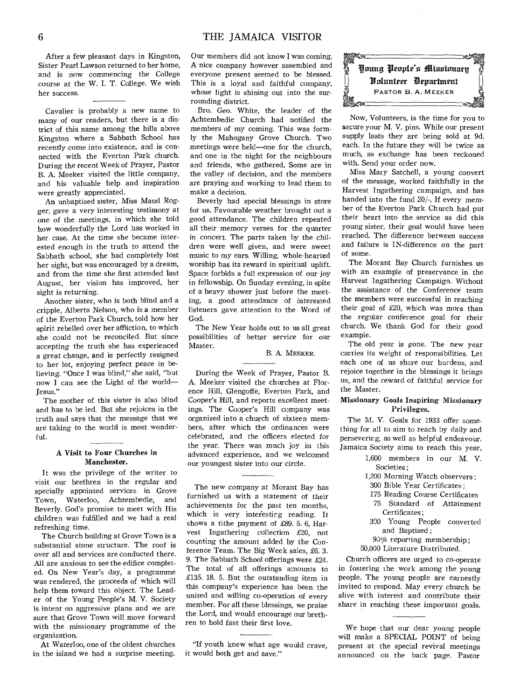After a few pleasant days in Kingston, Sister Pearl Lawson returned to her home, and is now commencing the College course at the W. I. T. College. We wish her success.

Cavalier is probably a new name to many of our readers, but there is a district of this name among the hills above Kingston where a Sabbath School has recently come into existence, and is connected with the Everton Park church. During the recent Week of Prayer, Pastor B. A. Meeker visited the little company, and his valuable help and inspiration were greatly appreciated.

An unbaptized sister, Miss Maud Rogger, gave a very interesting testimony at one of the meetings, in which she told how wonderfully the Lord has worked in her case. At the time she became interested enough in the truth to attend the Sabbath school, she had completely lost her sight, but was encouraged by a dream, and from the time she first attended last August, her vision has improved, her sight is returning.

Another sister, who is both blind and a cripple, Alberta Nelson, who is a member of the Everton Park Church, told how her spirit rebelled over her affliction, to which she could not be reconciled. But since accepting the truth she has experienced a great change, and is perfectly resigned to her lot, enjoying perfect peace in believing. "Once I was blind," she said, "but now I can see the Light of the world— Jesus."

The mother of this sister is also blind and has to be led. But she rejoices in the truth and says that the message that we are taking to the world is most wonderful.

#### A Visit to Four Churches in Manchester.

It was the privilege of the writer to visit our brethren in the regular and specially appointed services in Grove Town, Waterloo, Achtembedie, and Beverly. God's promise to meet with His children was fulfilled and we had a real refreshing time.

The Church building at Grove Town is a substantial stone structure. The roof is over all and services are conducted there. All are anxious to see the edifice completed. On New Year's day, a programme was rendered, the proceeds of which will help them toward this object. The Leader of the Young People's M. V. Society is intent on aggressive plans and we are sure that Grove Town will move forward with the missionary programme of the organization.

At Waterloo, one of the oldest churches in the island we had a surprise meeting. Our members did not know I was coming. A nice company however assembled and everyone present seemed to be blessed. This is a loyal and faithful company, whose light is shining out into the surrounding district.

Bro. Geo. White, the leader of the Achtembedie Church had notified the members of my coming. This was formly the Mahogany Grove Church. Two meetings were held—one for the church, and one in the night for the neighbours and friends, who gathered. Some are in the valley of decision, and the members are praying and working to lead them to make a decision.

Beverly had special blessings in store for us. Favourable weather brought out a good attendance. The children repeated all their memory verses for the quarter in concert. The parts taken by the children were well given, and were sweet music to my ears. Willing, whole-hearted worship has its reward in spiritual uplift. Space forbids a full expression of our joy in fellowship. On Sunday evening, in spite of a heavy shower just before the meeting, a good attendance of interested listeners gave attention to the Word of God.

The New Year holds out to us all great possibilities of better service for our Master.

B. A. MEEKER.

During the Week of Prayer, Pastor B. A. Meeker visited the churches at Florence Hill, Glengoffe, Everton Park, and Cooper's Hill, and reports excellent meetings. The Cooper's Hill company was organized into a church of sixteen members, after which the ordinances were celebrated, and the officers elected for the year. There was much joy in this advanced experience, and we welcomed our youngest sister into our circle.

The new company at Morant Bay has furnished us with a statement of their achievements for the past ten months, which is very intefesting reading. It shows a tithe payment of £89. 5. 6, Harvest Ingathering collection £20, not counting the amount added by the Conference Team. The Big Week sales, £6. 3. 9. The Sabbath School offerings were £24. The total of all offerings amounts to £135. 18. 5. But the outstanding item in this company's experience has been the united and willing co-operation of every member. For all these blessings, we praise the Lord, and would encourage our brethren to hold fast their first love.

"If youth knew what age would crave, it would both get and save.'



Now, Volunteers, is the time for you to secure your M. V. pins. While our present supply lasts they are being sold at 9d. each. In the future they will be twice as much, as exchange has been reckoned with. Send your order now.

Miss Mary Satchell, a young convert of the message, worked faithfully in the Harvest Ingathering campaign, and has handed into the fund 20/-. If every member of the Everton Park Church had put their heart into the service as did this young sister, their goal would have been reached. The difference between *success*  and failure is IN-difference on the part of some.

The Morant Bay Church furnishes us with an example of preservance in the Harvest Ingathering Campaign. Without the assistance of the Conference team the members were successful in reaching their goal of £20, which was more than the regular conference goal for their church. We thank God for their good example.

The old year is gone. The new year carries its weight of responsibilities. Let each one of us share our burdens, and rejoice together in the blessings it brings us, and the reward of faithful service for the Master.

#### Missionary Goals Inspiring Missionary Privileges.

The M. V. Goals for 1933 offer something for all to aim to reach by daily and persevering, as well as helpful endeavour. Jamaica Society aims to reach this year,

- 1,600 members in our M. V. Societies ;
- 1,200 Morning Watch observers ;
- 300 Bible Year Certificates ;
- 175 Reading Course Certificates 75 Standard of Attainment
- Certificates; 390 Young People converted and Baptized ;
- 93% reporting membership;
- 50,000 Literature Distributed.

Church officers are urged to co-operate in fostering the work among the young people. The young people are earnestly invited to respond. May every church be alive with interest and contribute their share in reaching these important goals.

We hope that our dear young people will make a SPECIAL POINT of being present at the special revival meetings announced on the back page. Pastor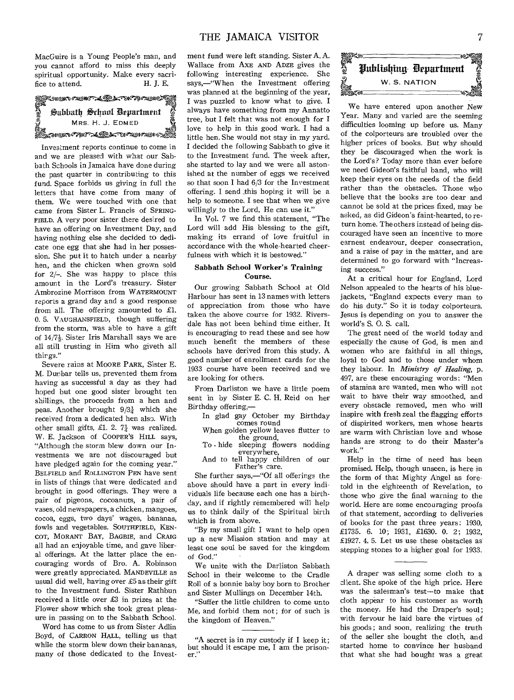MacGuire is a Young People's man, and you cannot afford to miss this deeply spiritual opportunity. Make every sacrifice to attend. H. J. E.



Investment reports continue to come in and we are pleased with what our Sabbath Schools in Jamaica have done during the past quarter in contributing to this fund. Space forbids us giving in full the letters that have come from many of them. We were touched with one that came from Sister L. Francis of SPRING-FIELD. A very poor sister there desired to have an offering on Investment Day, and having nothing else she decided to dedicate one egg that she had in her possession. She put it to hatch under a nearby hen, and the chicken when grown sold for 2/—. She was happy to place this amount in the Lord's treasury. Sister Ambrozine Morrison from WATERMOUNT reports a grand day and a good response from all. The offering amounted to £1. 0. 5. VAUGHANSFIELD, though suffering from the storm, was able to have a gift of 14/72. Sister Iris Marshall says we are all still trusting in Him who giveth all thir gs."

Severe rains at MOORE PARK, Sister E. M. Dunbar tells us, prevented them from having as successful a day as they had hoped but one good sister brought ten shillings, the proceeds from a hen and peas. Another brought  $9/3<sub>\pi</sub><sup>1</sup>$  which she received from a dedicated hen also. With other small gifts, £1, 2,  $7\frac{1}{4}$  was realized. W. E. Jackson of COOPER'S HILL says, "Although the storm blew down our Investments we are not discouraged but have pledged again for the coming year." BELFIELD and. ROLLINGTON PEN have sent in lists of things that were dedicated and brought in good offerings. They were a pair of pigeons, cocoanuts, a pair of vases, old newspapers, a chicken, mangoes, cocoa, eggs, two days' wages, bananas, fowls and vegetables. SOUTHFIELD, KEN-COT, MORANT BAY, BAGBIE, and CRAIG all had an enjoyable time, and gave liberal offerings. At the latter place the encouraging words of Bro. A. Robinson were greatly appreciated. MANDEVILLE as usual did well, having over £5 as their gift to the Investment fund. Sister Rathbun received a little over £3 in prizes at the Flower show which she took great pleasure in passing on to the Sabbath School.

Word has come to us from Sister Adlin Boyd, of CARRON HALL, telling us that while the storm blew down their bananas, many of those dedicated to the Invest-

ment fund were left standing. Sister A. A. Wallace from AXE AND ADZE gives the following interesting experience. She says,—"When the Investment offering was planned at the beginning of the year, I was puzzled to know what to give. I always have something from my Annatto tree, but I felt that was not enough for I love to help in this good work. I had a little hen. She would not stay in my yard. I decided the following Sabbath to give it to the Investment fund. The week after, she started to lay and we were all astonished at the number of eggs we received so that soon I had 6/3 for the Investment offering. I send this hoping it will be a help to someone. I see that when we give willingly to the Lord, He can use it.'

In Vol. 7 we find this statement, "The Lord will add His blessing to the gift, making its errand of love fruitful in accordance with the whole-hearted cheerfulness with which it is bestowed."

#### Sabbath School Worker's Training Course.

Our growing Sabbath School at Old Harbour has sent in 13 names with letters of appreciation from those who have taken the above course for 1932. Riversdale has not been behind time either. It is encouraging to read these and see how much benefit the members of these schools have derived from this study. A good number of enrollment cards for the 1933 course have been received and we are looking for others.

From Darliston we have a little poem sent in by Sister E. C. H. Reid on her Birthday offering,—

In glad gay October my Birthday comes round

When golden yellow leaves flutter to the ground, To hide sleeping flowers nodding

everywhere, And to tell happy children of our

Father's care.

She further says,—"Of all offerings the above should have a part in every individuals life because each one has a birthday, and if rightly remembered will help us to think daily of the Spiritual birth which is from above.

"By my small gift I want to help open up a new Mission station and may at least one soul be saved for the kingdom of God."

We unite with the Darliston Sabbath School in their welcome to the Cradle Roll of a bonnie baby boy born to Brother and Sister Mullings on December 14th.

"Suffer the little children to come unto Me, and forbid them not ; for of such is the kingdom of Heaven."



We have entered upon another New Year. Many and varied are the seeming difficulties looming up before us. Many of the colporteurs are troubled over the higher prices of books. But why should they be discouraged when the work is the Lord's? Today more than ever before we need Gideon's faithful band, who will keep their eyes on the needs of the field rather than the obstacles. Those who believe that the books are too dear and cannot be sold at the prices fixed, may be asked, as did Gideon's faint-hearted, to return home. The others instead of being discouraged have seen an incentive to more earnest endeavour, deeper consecration, and a raise of pay in the matter, and are determined to go forward with "Increasing success."

At a critical hour for England, Lord Nelson appealed to the hearts of his bluejackets, "England expects every man to do his duty." So it is today colporteurs. Jesus is depending on you to answer the world's S. 0. S. call.

The great need of the world today and especially the cause of God, is men and women who are faithful in all things, loyal to God and to those under whom they labour. In *Ministry of Healing,* p. 497, are these encouraging words: "Men of stamina are wanted, men who will not wait to have their way smoothed, and every obstacle removed, men who will inspire with fresh zeal the flagging efforts of dispirited workers, men whose hearts are warm with Christian love and whose hands are strong to do their Master's work."

Help in the time of need has been promised. Help, though unseen, is here in the form of that Mighty Angel as foretold in the eighteenth of Revelation, to those who give the final warning to the world. Here are some encouraging proofs of that statement, according to deliveries of books for the past three years: 1930, £1735. 6. 10; 1931, £1630. 0. 2; 1932, £1927. 4. 5. Let us use these obstacles as stepping stones to a higher goal for 1933.

A draper was selling some cloth to a client. She spoke of the high price. Here was the salesman's test—to make that cloth appear to his customer as worth the money. He had the Draper's soul; with fervour he laid bare the virtues of his goods ; and soon, realizing the truth of the seller she bought the cloth, and started home to convince her husband that what she had bought was a great

<sup>&</sup>quot;A secret is in my custody if I keep it; but should it escape me, I am the prisoner."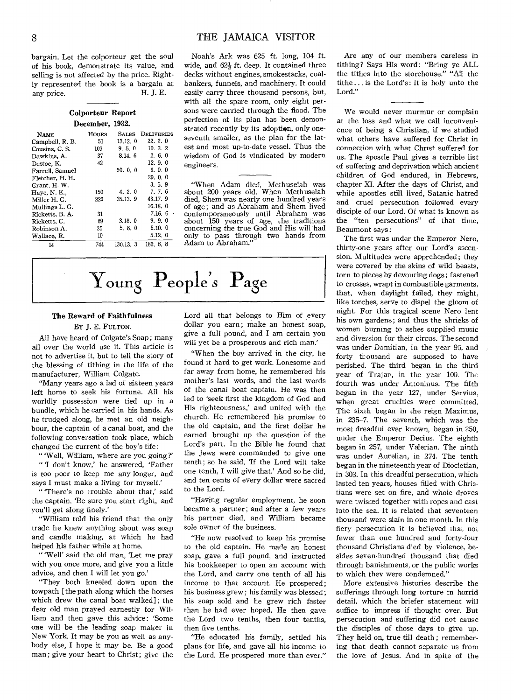bargain. Let the colporteur get the soul of his book, demonstrate its value, and selling is not affected by the price. Rightly represented the book is a bargain at any price. H. J. E.

#### Colporteur Report December, 1932.

| HOURS | <b>SALES</b> | DELIVERIES |
|-------|--------------|------------|
| 51    | 13.12.0      | 22.2.0     |
| 109   | 9.5.0        | 10.3.2     |
| 37    | 8.14.6       | 2, 6, 0    |
| 42    |              | 12.9.0     |
|       | 50.0.0       | 6.0.0      |
|       |              | 29.0.0     |
|       |              | 3.5.9      |
| 150   | 4.2.0        | 7, 7, 6    |
| 220   | 35.13.9      | 43.17 9    |
|       |              | 16.18.0    |
| 31    |              | 7.16.6     |
| 69    | 3.18.0       | 9, 9, 0    |
| 25    | 5, 8, 0      | 5.10.0     |
| 10    |              | 5.12, 0    |
| 744   | 130.13.3     | 182. 6. 8  |
|       |              |            |

Noah's Ark was 625 ft. long, 104 ft. wide, and  $62\frac{1}{2}$  ft. deep. It contained three decks without engines, smokestacks, coalbankers, funnels, and machinery. It could easily carry three thousand persons, but, with all the spare room, only eight persons were carried through the flood. The perfection of its plan has been demonstrated recently by its adoption, only oneseventh smaller, as the plan for the latest and most up-to-date vessel. Thus the wisdom of God is vindicated by modern engineers.

"When Adam died, Methuselah was about 200 years old. When Methuselah died, Shem was nearly one hundred years of age; and as Abraham and Shem lived contemporaneously until Abraham was about 150 years of age, the traditions concerning the true God and His will had only to pass through two hands from Adam to Abraham.'

## 7 Young People*s* Page

#### The Reward of Faithfulness

#### BY J. E. FULTON.

All have heard of Colgate's Soap ; many all over the world use it. This article is not to advertise it, but to tell the story of the blessing of tithing in the life of the manufacturer, William Colgate.

"Many years ago a lad of sixteen years left home to seek his fortune. All his worldly possession were tied up in a bundle, which he carried in his hands. As he trudged along, he met an old neighbour, the captain of a canal boat, and the following conversation took place, which changed the current of the boy's life:

" 'Well, William, where are you going ?' " 'I don't know,' he answered, 'Father is too poor to keep me any longer, and says I must make a living for myself.'

" 'There's no trouble about that,' said the captain. 'Be sure you start right, and you'll get along finely.'

"William told his friend that the only trade he knew anything about was soap and candle making, at which he had helped his father while at home.

" 'Well' said the old man, 'Let me pray with you once more, and give you a little advice, and then I will let you go.'

"They both kneeled down upon the towpath [the path along which the horses which drew the canal boat walked]; the dear old man prayed earnestly for William and then gave this advice: 'Some one will be the leading soap maker in New York. It may be you as well as anybody else, I hope it may be. Be a good man; give your heart to Christ; give the

Lord all that belongs to Him of every dollar you earn; make an honest soap, give a full pound, and I am certain you will yet be a prosperous and rich man.'

"When the boy arrived in the city, he found it hard to get work. Lonesome and far away from home, he remembered his mother's last words, and the last words of the canal boat captain. He was then led to 'seek first the kingdom of God and His righteousness,' and united with the church. He remembered his promise to the old captain, and the first dollar he earned brought up the question of the Lord's part. In the Bible he found that the Jews were commanded to give one tenth; so he said, 'If the Lord will take one tenth, I will give that.' And so he did, and ten cents of every dollar were sacred to the Lord.

"Having regular employment, he soon became a partner; and after a few years his partner died, and William became sole owner of the business.

"He now resolved to keep his promise to the old captain. He made an honest soap, gave a full pound, and instructed his bookkeeper to open an account with the Lord, and carry one tenth of all his income to that account. He prospered; his business grew ; his family was blessed ; his soap sold and he grew rich faster than he had ever hoped. He then gave the Lord two tenths, then four tenths, then five tenths.

"He educated his family, settled his plans for life, and gave all his income to the Lord. He prospered more than ever."

Are any of our members careless in tithing? Says His word: "Bring ye ALL the tithes into the storehouse." "All the tithe... is the Lord's: It is holy unto the Lord."

We would never murmur or complain at the loss and what we call inconvenience of being a Christian, if we studied what others have suffered for Christ in connection with what Christ suffered for us. The apostle Paul gives a terrible list of suffering and deprivation which ancient children of God endured, in Hebrews, chapter XI. After the days of Christ, and while apostles still lived, Satanic hatred and cruel persecution followed every disciple of our Lord. Of what is known as the "ten persecutions" of that time, Beaumont says:

The first was under the Emperor Nero, thirty-one years after our Lord's ascension. Multitudes were apprehended; they were covered by the skins of wild beasts, torn to pieces by devouring dogs ; fastened to crosses, wrapt in combustible garments, that, when daylight failed, they might, like torches, serve to dispel the gloom of night. For this tragical scene Nero lent his own gardens; and thus the shrieks of women burning to ashes supplied music and diversion for their circus. The second was under Domitian, in the year 95, and forty thousand are supposed to have perished. The third began in the third year of Trajar, in the year 100. The fourth was under Antoninus. The fifth began in the year 127, under Servius, when great cruelties were committed. The sixth began in the reign Maximus, in 235-7. The seventh, which was the most dreadful ever known, began in 250, under the Emperor Decius. The eighth began in 257, under Valerian. The ninth was under Aurelian, in 274. The tenth began in the nineteenth year of Diocletian, in 303. In this dreadful persecution, which lasted ten years, houses filled with Christians were set on fire, and whole droves were twisted together with ropes and cast into the sea. It is related that seventeen thousand were slain in one month. In this fiery persecution it is believed that not fewer than one hundred and forty-four thousand Christians died by violence, besides seven-hundred thousand that died through banishments, or the public works to which they were condemned."

More extensive histories describe the sufferings through long torture in horrid detail, which the briefer statement will suffice to impress if thought over. But persecution and suffering did not cause the disciples of those days to give up. They held on, true till death ; remembering that death cannot separate us from the love of Jesus. And in spite of the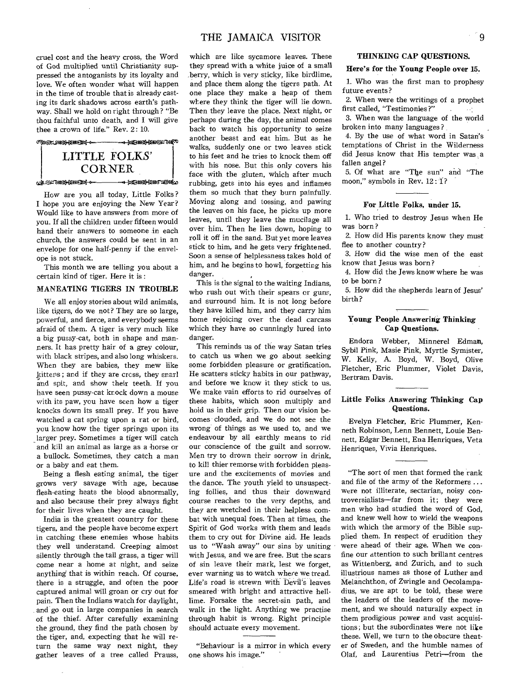cruel cost and the heavy cross, the Word of God multiplied until Christianity suppressed the antoganists by its loyalty and love. We often wonder what will happen in the time of trouble that is already casting its dark shadows across earth's pathway. Shall we hold on right through? "Be thou faithful unto death, and I will give thee a crown of life." Rev. 2: 10.

-.-milakuleazue LITTLE FOLKS' CORNER ৻ৢ৾৶ৣ৽য়য়ড়ড়য়<del>ঢ়য়</del>৽৽৽ 4---tto\*\*Dinneasi:o

How are you all today, Little Folks ? I hope you are enjoying the New Year? Would like to have answers from more of you. If all the children under fifteen would hand their answers to someone in each church, the answers could be sent in an envelope for one half-penny if the envelone is not stuck.

This month we are telling you about a certain kind of tiger. Here it is :

#### **MANEATING TIGERS IN TROUBLE**

We all enjoy stories about wild animals, like tigers, do we not? They are so large, powerful, and fierce, and everybody seems afraid of them. A tiger is very much like a big pussy-cat, both in shape and manners. It has pretty hair of a grey colour, with black stripes, and also long whiskers. When they are babies, they mew like kittens; and if they are cress, they snarl and spit, and show their teeth. If you have seen pussy-cat knock down a mouse with its paw, you have seen how a tiger knocks down its small prey. If you have watched a cat spring upon a rat or bird, you know how the tiger springs upon its larger prey. Sometimes a tiger will catch and kill an animal as large as a horse or a bullock. Sometimes, they catch a man or a baby and eat them.

Being a flesh eating animal, the tiger grows very savage with age, because flesh-eating heats the blood abnormally, and also because their prey always fight for their lives when they are caught.

India is the greatest country for these tigers, and the people have become expert in catching these enemies whose habits they well understand. Creeping almost silently through the tall grass, a tiger will come near a home at night, and seize anything that is within reach. Of course, there is a struggle, and often the poor captured animal will groan or cry out for pain. Then the Indians watch for daylight, and go out in large companies in search of the thief. After carefully examining the ground, they find the path chosen by the tiger, and, expecting that he will return the same way next night, they gather leaves of a tree called Prauss,

which are like sycamore leaves. These they spread with a white juice of a small .berry, which is very sticky, like birdlime, and place them along the tigers path. At one place they make a heap of them where they think the tiger will lie down. Then they leave the place. Next night, or perhaps during the day, the animal comes back to watch his opportunity to seize another beast and eat him. But as he walks, suddenly one or two leaves stick to his feet and he tries to knock them off with his nose. But this only covers his face with the gluten, which after much rubbing, gets into his eyes and inflames them so much that they burn painfully. Moving along and tossing, and pawing the leaves on his face, he picks up more leaves, until they leave the mucilage all over him. Then he lies down, hoping to roll it off in the sand. But yet more leaves stick to him, and he gets very frightened. Soon a sense of helplessness takes hold of him, and he begins to howl, forgetting his danger.

This is the signal to the waiting Indians, who rush out with their spears or guns, and surround him. It is not long before they have killed him, and they carry him home rejoicing over the dead carcass which they have so cunningly lured into danger.

This reminds us of the way Satan tries to catch us when we go about seeking some forbidden pleasure or gratification. He scatters sticky habits in our pathway, and before we know it they stick to us. We make vain efforts to rid ourselves of these habits, which soon multiply and hold us in their grip. Then our vision becomes clouded, and we do not see the wrong of things as we used to, and we endeavour by all earthly means to rid our conscience of the guilt and sorrow. Men try to drown their sorrow in drink, to kill thier remorse with forbidden pleasure and the excitements of movies and the dance. The youth yield to unsuspecting follies, and thus their downward course reaches to the very depths, and they are wretched in their helpless combat with unequal foes. Then at times, the Spirit of God works with them and leads them to cry out for Divine aid. He leads us to "Wash away" our sins by uniting with Jesus, and we are free. But the scars of sin leave their mark, lest we forget, ever warning us to watch where we tread. Life's road is strewn with Devil's leaves smeared with bright and attractive helllime. Forsake the secret-sin path, and walk in the light. Anything we practise through habit is wrong. Right principle should actuate every movement.

"Behaviour is a mirror in which every one shows his image." '

#### **THINKING CAP QUESTIONS.**

#### **Here's for the Young People over 15.**

1. Who was the first man to prophesy future events?

2. When were the writings of a prophet first called, "Testimonies?" 3. When was the language of the world

broken into many languages ?

4, By the use of what word in Satan's temptations of Christ in the Wilderness did Jesus know that His tempter was a fallen angel?

5. Of what are "The sun" and."The moon," symbols in Rev. 12:1?

#### **For Little Folks, under 15.**

1. Who tried to destroy Jesus when He was born ?

2. How did His parents know they must flee to another country?

3. How did the wise men of the east know that Jesus was born?

4. How did the Jews know where he was to be born ?

5. How did the shepherds learn of Jesus' birth?

#### **Young People Answering Thinking Cap Questions.**

Endora Webber, Minnerel Edman, Sybil Pink, Masie Pink, Myrtle Symister, W. Kelly, A. Boyd, W. Boyd, Olive Fletcher, Eric Plummer, Violet Davis, Bertram Davis.

#### **Little Folks Answering Thinking Cap Questions.**

Evelyn Fletcher, Eric Plummer, Kenneth Robinson, Lenn Bennett, Louie Bennett, Edgar Bennett, Ena Henriques, Veta Henriques, Vivia Henriques.

"The sort of men that formed the rank and file of the army of the Reformers ... were not illiterate, sectarian, noisy controversialists—far from it; they were men who had studied the word of God, and knew well how to wield the weapons with which the armory of the Bible supplied them. In respect of erudition they were ahead of their age. When we confine our attention to such brillant centres as Wittenberg, and Zurich, and to such illustrious names as those of Luther and Melanchthon, of Zwingle and Oecolampadius, we are apt to be told, these were the leaders of the leaders of the movement, and we should naturally expect in them prodigious power and vast acquisitions; but the subordinates were not like these. Well, we turn to the obscure theater of Sweden, and the humble names of Olaf, and Laurentius Petri—from the